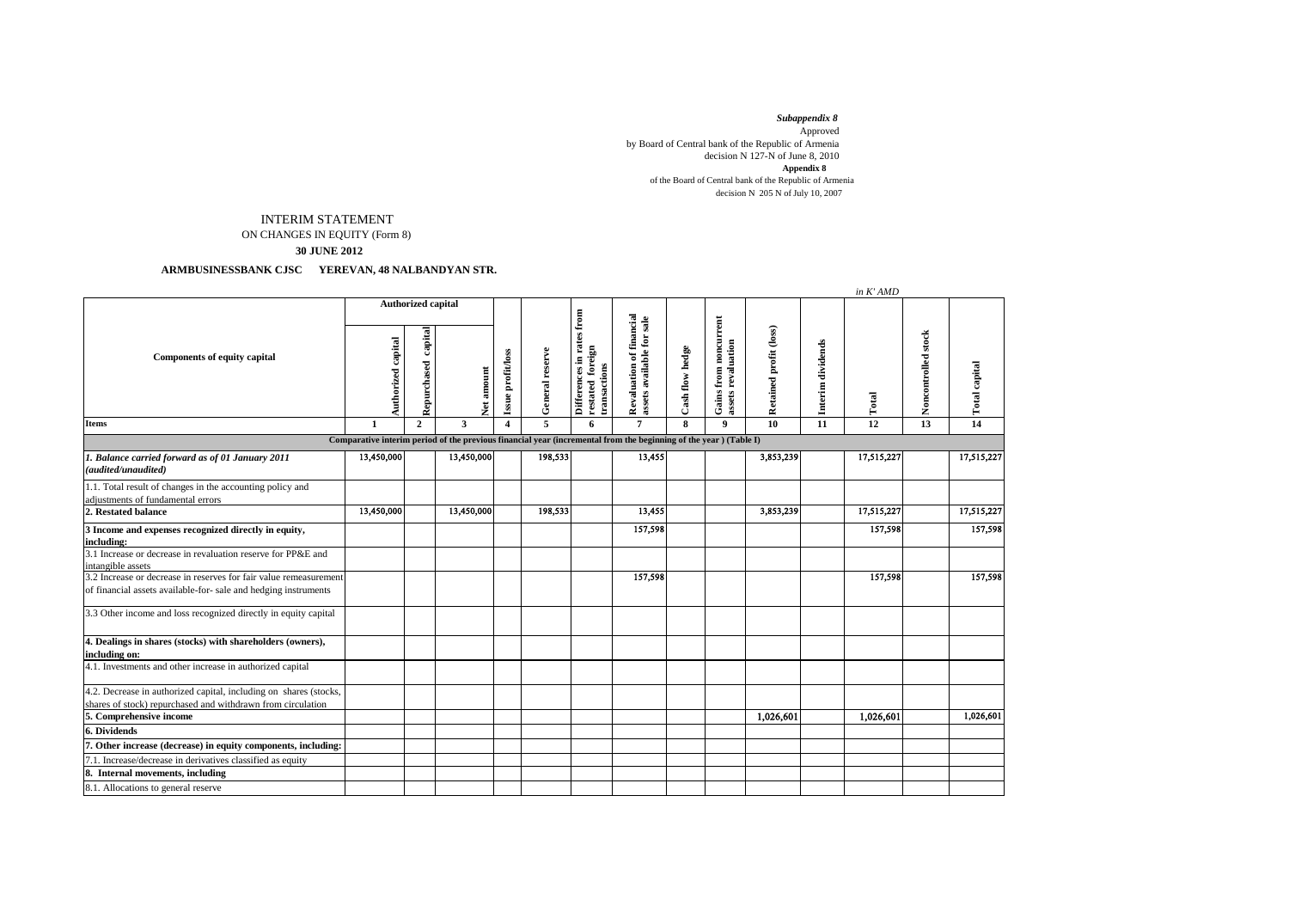*Subappendix 8*  Approved by Board of Central bank of the Republic of Armenia decision N 127-N of June 8, 2010 of the Board of Central bank of the Republic of Armenia decision N 205 N of July 10, 2007 **Appendix 8**

## INTERIM STATEMENT

ON CHANGES IN EQUITY (Form 8)

 **30 JUNE 2012**

## **ARMBUSINESSBANK CJSC YEREVAN, 48 NALBANDYAN STR.**

|                                                                                                                                      |                                                                                                                  |                        |                         |                   |                 |                                                                 |                                                       |                 |                                                    |                        |                   | in K' AMD  |                     |                      |
|--------------------------------------------------------------------------------------------------------------------------------------|------------------------------------------------------------------------------------------------------------------|------------------------|-------------------------|-------------------|-----------------|-----------------------------------------------------------------|-------------------------------------------------------|-----------------|----------------------------------------------------|------------------------|-------------------|------------|---------------------|----------------------|
| <b>Components of equity capital</b>                                                                                                  | <b>Authorized capital</b>                                                                                        |                        |                         |                   |                 | from                                                            |                                                       |                 |                                                    |                        |                   |            |                     |                      |
|                                                                                                                                      | Authorized capital                                                                                               | capital<br>Repurchased | Vet amount              | Issue profit/loss | General reserve | Differences in rates<br><b>restated</b> foreign<br>transactions | Revaluation of financial<br>assets available for sale | Cash flow hedge | <b>Gains from noncurrent</b><br>assets revaluation | Retained profit (loss) | Interim dividends | Total      | Noncontrolled stock | <b>Total capital</b> |
| <b>Items</b>                                                                                                                         | 1                                                                                                                | $\mathbf{2}$           | $\overline{\mathbf{3}}$ | $\overline{4}$    | 5               | 6                                                               | $\overline{7}$                                        | 8               | 9                                                  | 10                     | 11                | 12         | 13                  | 14                   |
|                                                                                                                                      | Comparative interim period of the previous financial year (incremental from the beginning of the year) (Table I) |                        |                         |                   |                 |                                                                 |                                                       |                 |                                                    |                        |                   |            |                     |                      |
| 1. Balance carried forward as of 01 January 2011<br>(audited/unaudited)                                                              | 13,450,000                                                                                                       |                        | 13,450,000              |                   | 198,533         |                                                                 | 13,455                                                |                 |                                                    | 3,853,239              |                   | 17,515,227 |                     | 17,515,227           |
| 1.1. Total result of changes in the accounting policy and<br>adjustments of fundamental errors                                       |                                                                                                                  |                        |                         |                   |                 |                                                                 |                                                       |                 |                                                    |                        |                   |            |                     |                      |
| 2. Restated balance                                                                                                                  | 13,450,000                                                                                                       |                        | 13,450,000              |                   | 198,533         |                                                                 | 13,455                                                |                 |                                                    | 3,853,239              |                   | 17,515,227 |                     | 17,515,227           |
| 3 Income and expenses recognized directly in equity,<br>including:                                                                   |                                                                                                                  |                        |                         |                   |                 |                                                                 | 157,598                                               |                 |                                                    |                        |                   | 157,598    |                     | 157,598              |
| 3.1 Increase or decrease in revaluation reserve for PP&E and<br>intangible assets                                                    |                                                                                                                  |                        |                         |                   |                 |                                                                 |                                                       |                 |                                                    |                        |                   |            |                     |                      |
| 3.2 Increase or decrease in reserves for fair value remeasurement<br>of financial assets available-for- sale and hedging instruments |                                                                                                                  |                        |                         |                   |                 |                                                                 | 157,598                                               |                 |                                                    |                        |                   | 157,598    |                     | 157,598              |
| 3.3 Other income and loss recognized directly in equity capital                                                                      |                                                                                                                  |                        |                         |                   |                 |                                                                 |                                                       |                 |                                                    |                        |                   |            |                     |                      |
| 4. Dealings in shares (stocks) with shareholders (owners),<br>including on:                                                          |                                                                                                                  |                        |                         |                   |                 |                                                                 |                                                       |                 |                                                    |                        |                   |            |                     |                      |
| 4.1. Investments and other increase in authorized capital                                                                            |                                                                                                                  |                        |                         |                   |                 |                                                                 |                                                       |                 |                                                    |                        |                   |            |                     |                      |
| 4.2. Decrease in authorized capital, including on shares (stocks,<br>shares of stock) repurchased and withdrawn from circulation     |                                                                                                                  |                        |                         |                   |                 |                                                                 |                                                       |                 |                                                    |                        |                   |            |                     |                      |
| 5. Comprehensive income                                                                                                              |                                                                                                                  |                        |                         |                   |                 |                                                                 |                                                       |                 |                                                    | 1,026,601              |                   | 1,026,601  |                     | 1,026,601            |
| 6. Dividends                                                                                                                         |                                                                                                                  |                        |                         |                   |                 |                                                                 |                                                       |                 |                                                    |                        |                   |            |                     |                      |
| 7. Other increase (decrease) in equity components, including:                                                                        |                                                                                                                  |                        |                         |                   |                 |                                                                 |                                                       |                 |                                                    |                        |                   |            |                     |                      |
| 7.1. Increase/decrease in derivatives classified as equity                                                                           |                                                                                                                  |                        |                         |                   |                 |                                                                 |                                                       |                 |                                                    |                        |                   |            |                     |                      |
| 8. Internal movements, including                                                                                                     |                                                                                                                  |                        |                         |                   |                 |                                                                 |                                                       |                 |                                                    |                        |                   |            |                     |                      |
| 8.1. Allocations to general reserve                                                                                                  |                                                                                                                  |                        |                         |                   |                 |                                                                 |                                                       |                 |                                                    |                        |                   |            |                     |                      |